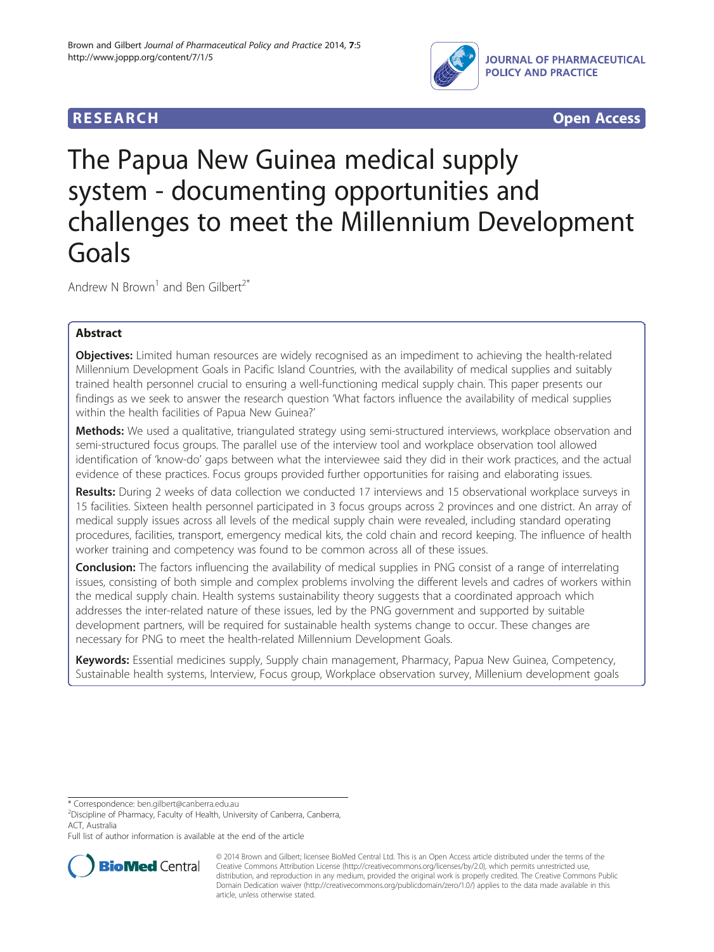

**RESEARCH RESEARCH** *CHECKER CHECKER CONFIDENTIAL CONFIDENTIAL CONFIDENTIAL CONFIDENTIAL CONFIDENTIAL CONFIDENTIAL CONFIDENTIAL CONFIDENTIAL CONFIDENTIAL CONFIDENTIAL CONFIDENTIAL CONFIDENTIAL CONFIDENTIAL CONFIDENTIAL* 

# The Papua New Guinea medical supply system - documenting opportunities and challenges to meet the Millennium Development Goals

Andrew N Brown<sup>1</sup> and Ben Gilbert<sup>2\*</sup>

## Abstract

**Objectives:** Limited human resources are widely recognised as an impediment to achieving the health-related Millennium Development Goals in Pacific Island Countries, with the availability of medical supplies and suitably trained health personnel crucial to ensuring a well-functioning medical supply chain. This paper presents our findings as we seek to answer the research question 'What factors influence the availability of medical supplies within the health facilities of Papua New Guinea?'

Methods: We used a qualitative, triangulated strategy using semi-structured interviews, workplace observation and semi-structured focus groups. The parallel use of the interview tool and workplace observation tool allowed identification of 'know-do' gaps between what the interviewee said they did in their work practices, and the actual evidence of these practices. Focus groups provided further opportunities for raising and elaborating issues.

Results: During 2 weeks of data collection we conducted 17 interviews and 15 observational workplace surveys in 15 facilities. Sixteen health personnel participated in 3 focus groups across 2 provinces and one district. An array of medical supply issues across all levels of the medical supply chain were revealed, including standard operating procedures, facilities, transport, emergency medical kits, the cold chain and record keeping. The influence of health worker training and competency was found to be common across all of these issues.

Conclusion: The factors influencing the availability of medical supplies in PNG consist of a range of interrelating issues, consisting of both simple and complex problems involving the different levels and cadres of workers within the medical supply chain. Health systems sustainability theory suggests that a coordinated approach which addresses the inter-related nature of these issues, led by the PNG government and supported by suitable development partners, will be required for sustainable health systems change to occur. These changes are necessary for PNG to meet the health-related Millennium Development Goals.

Keywords: Essential medicines supply, Supply chain management, Pharmacy, Papua New Guinea, Competency, Sustainable health systems, Interview, Focus group, Workplace observation survey, Millenium development goals

\* Correspondence: [ben.gilbert@canberra.edu.au](mailto:ben.gilbert@canberra.edu.au) <sup>2</sup>

<sup>2</sup>Discipline of Pharmacy, Faculty of Health, University of Canberra, Canberra, ACT, Australia

Full list of author information is available at the end of the article



<sup>© 2014</sup> Brown and Gilbert; licensee BioMed Central Ltd. This is an Open Access article distributed under the terms of the Creative Commons Attribution License (<http://creativecommons.org/licenses/by/2.0>), which permits unrestricted use, distribution, and reproduction in any medium, provided the original work is properly credited. The Creative Commons Public Domain Dedication waiver [\(http://creativecommons.org/publicdomain/zero/1.0/\)](http://creativecommons.org/publicdomain/zero/1.0/) applies to the data made available in this article, unless otherwise stated.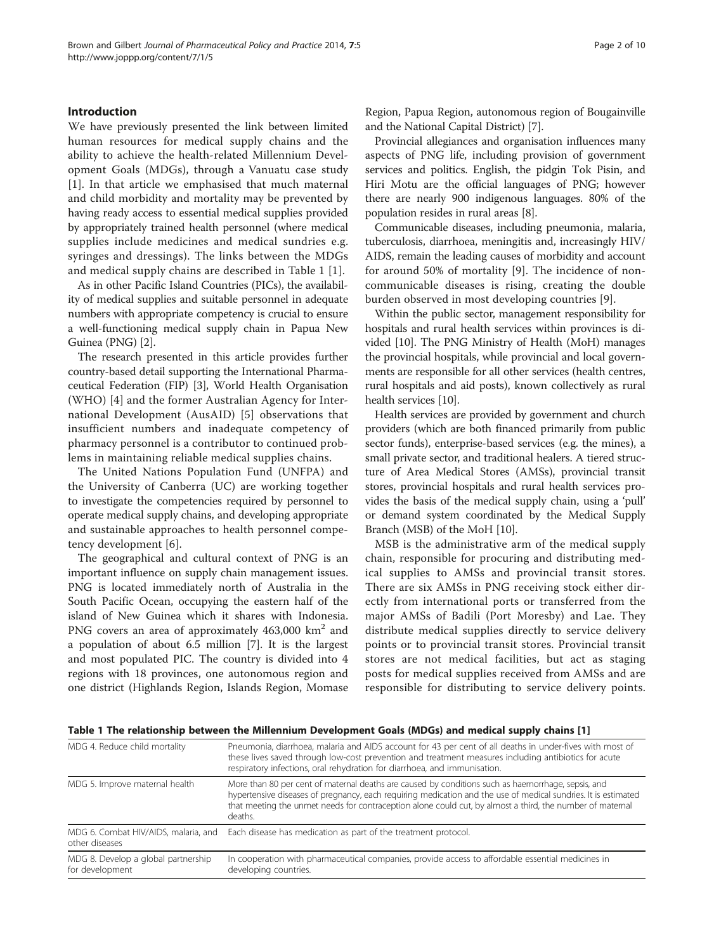#### Introduction

We have previously presented the link between limited human resources for medical supply chains and the ability to achieve the health-related Millennium Development Goals (MDGs), through a Vanuatu case study [[1\]](#page-8-0). In that article we emphasised that much maternal and child morbidity and mortality may be prevented by having ready access to essential medical supplies provided by appropriately trained health personnel (where medical supplies include medicines and medical sundries e.g. syringes and dressings). The links between the MDGs and medical supply chains are described in Table 1 [[1](#page-8-0)].

As in other Pacific Island Countries (PICs), the availability of medical supplies and suitable personnel in adequate numbers with appropriate competency is crucial to ensure a well-functioning medical supply chain in Papua New Guinea (PNG) [\[2\]](#page-8-0).

The research presented in this article provides further country-based detail supporting the International Pharmaceutical Federation (FIP) [\[3](#page-8-0)], World Health Organisation (WHO) [[4\]](#page-8-0) and the former Australian Agency for International Development (AusAID) [[5](#page-8-0)] observations that insufficient numbers and inadequate competency of pharmacy personnel is a contributor to continued problems in maintaining reliable medical supplies chains.

The United Nations Population Fund (UNFPA) and the University of Canberra (UC) are working together to investigate the competencies required by personnel to operate medical supply chains, and developing appropriate and sustainable approaches to health personnel competency development [\[6](#page-8-0)].

The geographical and cultural context of PNG is an important influence on supply chain management issues. PNG is located immediately north of Australia in the South Pacific Ocean, occupying the eastern half of the island of New Guinea which it shares with Indonesia. PNG covers an area of approximately 463,000 km<sup>2</sup> and a population of about 6.5 million [[7\]](#page-8-0). It is the largest and most populated PIC. The country is divided into 4 regions with 18 provinces, one autonomous region and one district (Highlands Region, Islands Region, Momase

Region, Papua Region, autonomous region of Bougainville and the National Capital District) [[7](#page-8-0)].

Provincial allegiances and organisation influences many aspects of PNG life, including provision of government services and politics. English, the pidgin Tok Pisin, and Hiri Motu are the official languages of PNG; however there are nearly 900 indigenous languages. 80% of the population resides in rural areas [\[8](#page-8-0)].

Communicable diseases, including pneumonia, malaria, tuberculosis, diarrhoea, meningitis and, increasingly HIV/ AIDS, remain the leading causes of morbidity and account for around 50% of mortality [\[9](#page-8-0)]. The incidence of noncommunicable diseases is rising, creating the double burden observed in most developing countries [[9\]](#page-8-0).

Within the public sector, management responsibility for hospitals and rural health services within provinces is divided [[10](#page-8-0)]. The PNG Ministry of Health (MoH) manages the provincial hospitals, while provincial and local governments are responsible for all other services (health centres, rural hospitals and aid posts), known collectively as rural health services [[10](#page-8-0)].

Health services are provided by government and church providers (which are both financed primarily from public sector funds), enterprise-based services (e.g. the mines), a small private sector, and traditional healers. A tiered structure of Area Medical Stores (AMSs), provincial transit stores, provincial hospitals and rural health services provides the basis of the medical supply chain, using a 'pull' or demand system coordinated by the Medical Supply Branch (MSB) of the MoH [\[10\]](#page-8-0).

MSB is the administrative arm of the medical supply chain, responsible for procuring and distributing medical supplies to AMSs and provincial transit stores. There are six AMSs in PNG receiving stock either directly from international ports or transferred from the major AMSs of Badili (Port Moresby) and Lae. They distribute medical supplies directly to service delivery points or to provincial transit stores. Provincial transit stores are not medical facilities, but act as staging posts for medical supplies received from AMSs and are responsible for distributing to service delivery points.

Table 1 The relationship between the Millennium Development Goals (MDGs) and medical supply chains [[1\]](#page-8-0)

| MDG 4. Reduce child mortality                          | Pneumonia, diarrhoea, malaria and AIDS account for 43 per cent of all deaths in under-fives with most of<br>these lives saved through low-cost prevention and treatment measures including antibiotics for acute<br>respiratory infections, oral rehydration for diarrhoea, and immunisation.                                                |  |  |  |  |
|--------------------------------------------------------|----------------------------------------------------------------------------------------------------------------------------------------------------------------------------------------------------------------------------------------------------------------------------------------------------------------------------------------------|--|--|--|--|
| MDG 5. Improve maternal health                         | More than 80 per cent of maternal deaths are caused by conditions such as haemorrhage, sepsis, and<br>hypertensive diseases of pregnancy, each requiring medication and the use of medical sundries. It is estimated<br>that meeting the unmet needs for contraception alone could cut, by almost a third, the number of maternal<br>deaths. |  |  |  |  |
| MDG 6. Combat HIV/AIDS, malaria, and<br>other diseases | Each disease has medication as part of the treatment protocol.                                                                                                                                                                                                                                                                               |  |  |  |  |
| MDG 8. Develop a global partnership<br>for development | In cooperation with pharmaceutical companies, provide access to affordable essential medicines in<br>developing countries.                                                                                                                                                                                                                   |  |  |  |  |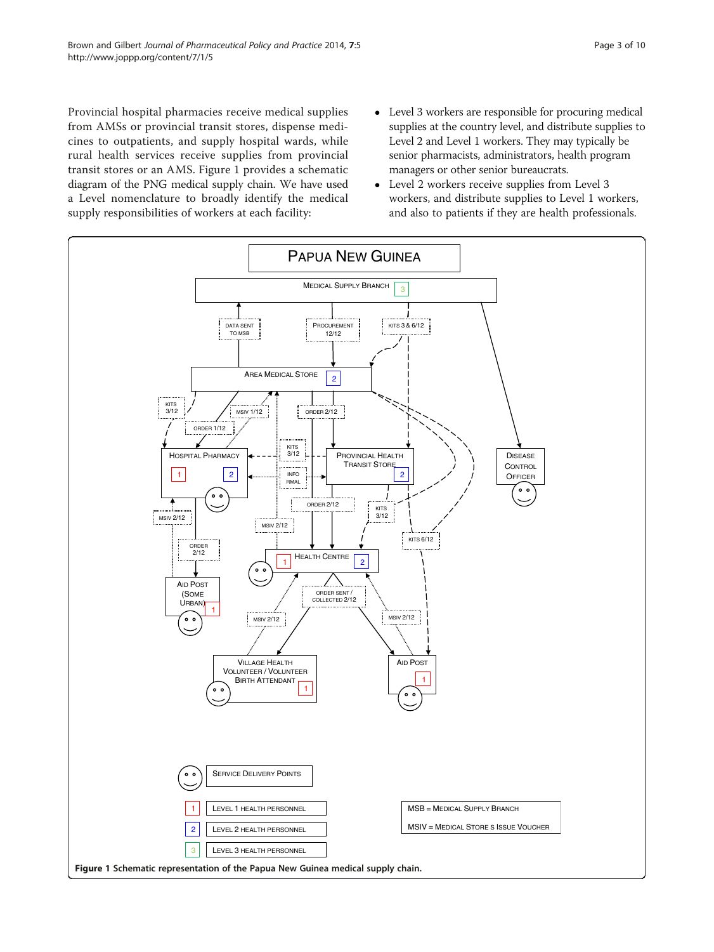Provincial hospital pharmacies receive medical supplies from AMSs or provincial transit stores, dispense medicines to outpatients, and supply hospital wards, while rural health services receive supplies from provincial transit stores or an AMS. Figure 1 provides a schematic diagram of the PNG medical supply chain. We have used a Level nomenclature to broadly identify the medical supply responsibilities of workers at each facility:

- Level 3 workers are responsible for procuring medical supplies at the country level, and distribute supplies to Level 2 and Level 1 workers. They may typically be senior pharmacists, administrators, health program managers or other senior bureaucrats.
- Level 2 workers receive supplies from Level 3 workers, and distribute supplies to Level 1 workers, and also to patients if they are health professionals.

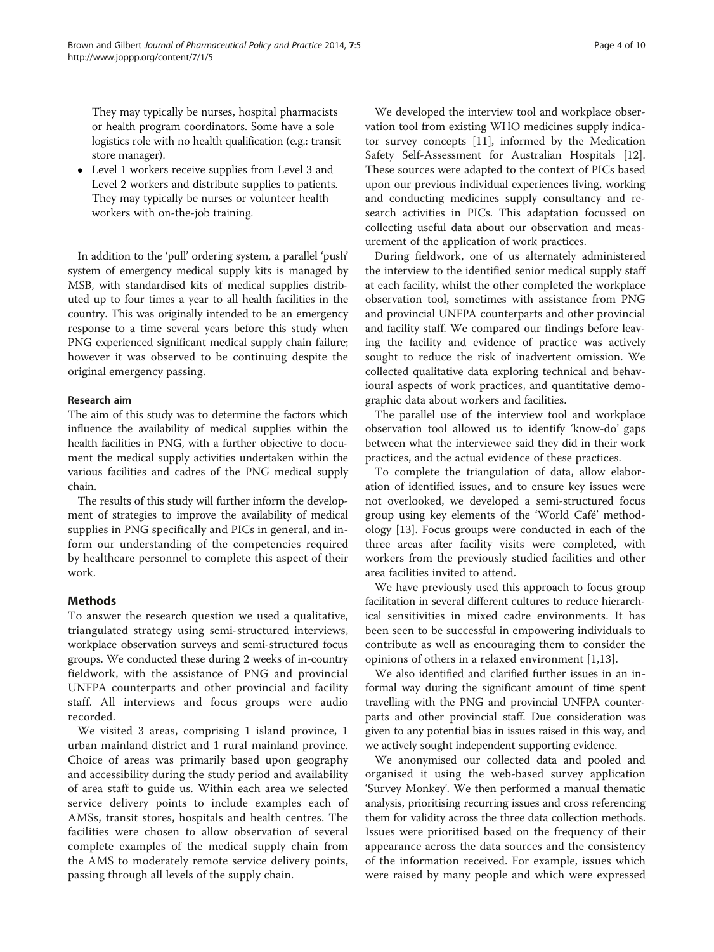They may typically be nurses, hospital pharmacists or health program coordinators. Some have a sole logistics role with no health qualification (e.g.: transit store manager).

 Level 1 workers receive supplies from Level 3 and Level 2 workers and distribute supplies to patients. They may typically be nurses or volunteer health workers with on-the-job training.

In addition to the 'pull' ordering system, a parallel 'push' system of emergency medical supply kits is managed by MSB, with standardised kits of medical supplies distributed up to four times a year to all health facilities in the country. This was originally intended to be an emergency response to a time several years before this study when PNG experienced significant medical supply chain failure; however it was observed to be continuing despite the original emergency passing.

### Research aim

The aim of this study was to determine the factors which influence the availability of medical supplies within the health facilities in PNG, with a further objective to document the medical supply activities undertaken within the various facilities and cadres of the PNG medical supply chain.

The results of this study will further inform the development of strategies to improve the availability of medical supplies in PNG specifically and PICs in general, and inform our understanding of the competencies required by healthcare personnel to complete this aspect of their work.

### **Mathods**

To answer the research question we used a qualitative, triangulated strategy using semi-structured interviews, workplace observation surveys and semi-structured focus groups. We conducted these during 2 weeks of in-country fieldwork, with the assistance of PNG and provincial UNFPA counterparts and other provincial and facility staff. All interviews and focus groups were audio recorded.

We visited 3 areas, comprising 1 island province, 1 urban mainland district and 1 rural mainland province. Choice of areas was primarily based upon geography and accessibility during the study period and availability of area staff to guide us. Within each area we selected service delivery points to include examples each of AMSs, transit stores, hospitals and health centres. The facilities were chosen to allow observation of several complete examples of the medical supply chain from the AMS to moderately remote service delivery points, passing through all levels of the supply chain.

We developed the interview tool and workplace observation tool from existing WHO medicines supply indicator survey concepts [\[11](#page-8-0)], informed by the Medication Safety Self-Assessment for Australian Hospitals [\[12](#page-8-0)]. These sources were adapted to the context of PICs based upon our previous individual experiences living, working and conducting medicines supply consultancy and research activities in PICs. This adaptation focussed on collecting useful data about our observation and measurement of the application of work practices.

During fieldwork, one of us alternately administered the interview to the identified senior medical supply staff at each facility, whilst the other completed the workplace observation tool, sometimes with assistance from PNG and provincial UNFPA counterparts and other provincial and facility staff. We compared our findings before leaving the facility and evidence of practice was actively sought to reduce the risk of inadvertent omission. We collected qualitative data exploring technical and behavioural aspects of work practices, and quantitative demographic data about workers and facilities.

The parallel use of the interview tool and workplace observation tool allowed us to identify 'know-do' gaps between what the interviewee said they did in their work practices, and the actual evidence of these practices.

To complete the triangulation of data, allow elaboration of identified issues, and to ensure key issues were not overlooked, we developed a semi-structured focus group using key elements of the 'World Café' methodology [\[13](#page-8-0)]. Focus groups were conducted in each of the three areas after facility visits were completed, with workers from the previously studied facilities and other area facilities invited to attend.

We have previously used this approach to focus group facilitation in several different cultures to reduce hierarchical sensitivities in mixed cadre environments. It has been seen to be successful in empowering individuals to contribute as well as encouraging them to consider the opinions of others in a relaxed environment [[1,13](#page-8-0)].

We also identified and clarified further issues in an informal way during the significant amount of time spent travelling with the PNG and provincial UNFPA counterparts and other provincial staff. Due consideration was given to any potential bias in issues raised in this way, and we actively sought independent supporting evidence.

We anonymised our collected data and pooled and organised it using the web-based survey application 'Survey Monkey'. We then performed a manual thematic analysis, prioritising recurring issues and cross referencing them for validity across the three data collection methods. Issues were prioritised based on the frequency of their appearance across the data sources and the consistency of the information received. For example, issues which were raised by many people and which were expressed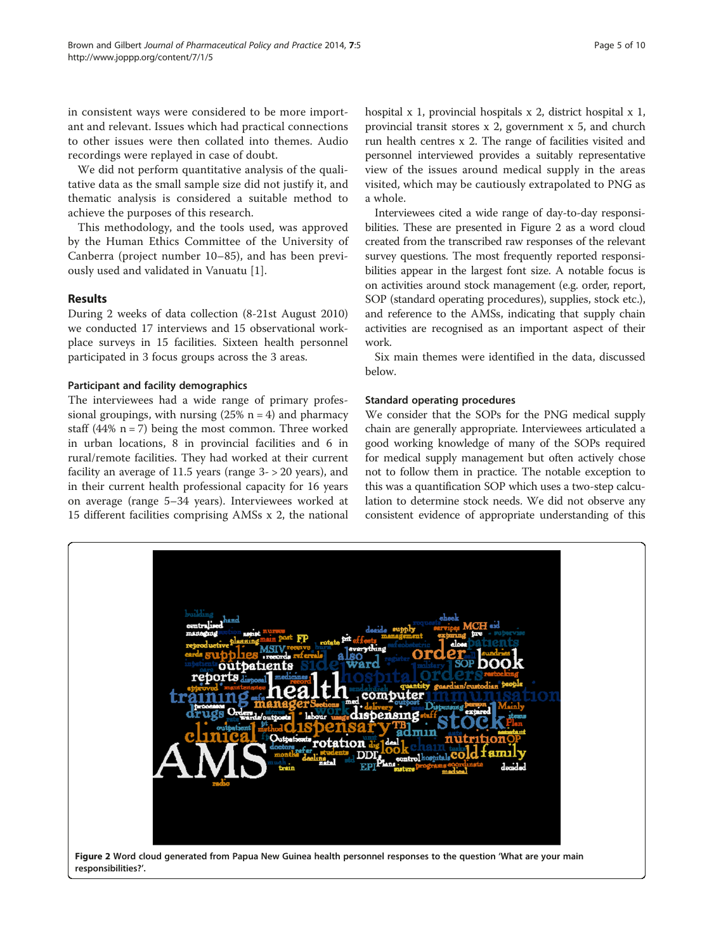in consistent ways were considered to be more important and relevant. Issues which had practical connections to other issues were then collated into themes. Audio recordings were replayed in case of doubt.

We did not perform quantitative analysis of the qualitative data as the small sample size did not justify it, and thematic analysis is considered a suitable method to achieve the purposes of this research.

This methodology, and the tools used, was approved by the Human Ethics Committee of the University of Canberra (project number 10–85), and has been previously used and validated in Vanuatu [\[1](#page-8-0)].

#### Results

During 2 weeks of data collection (8-21st August 2010) we conducted 17 interviews and 15 observational workplace surveys in 15 facilities. Sixteen health personnel participated in 3 focus groups across the 3 areas.

#### Participant and facility demographics

The interviewees had a wide range of primary professional groupings, with nursing  $(25\% \text{ n} = 4)$  and pharmacy staff (44%  $n = 7$ ) being the most common. Three worked in urban locations, 8 in provincial facilities and 6 in rural/remote facilities. They had worked at their current facility an average of 11.5 years (range 3- > 20 years), and in their current health professional capacity for 16 years on average (range 5–34 years). Interviewees worked at 15 different facilities comprising AMSs x 2, the national hospital x 1, provincial hospitals x 2, district hospital x 1, provincial transit stores x 2, government x 5, and church run health centres x 2. The range of facilities visited and personnel interviewed provides a suitably representative view of the issues around medical supply in the areas visited, which may be cautiously extrapolated to PNG as a whole.

Interviewees cited a wide range of day-to-day responsibilities. These are presented in Figure 2 as a word cloud created from the transcribed raw responses of the relevant survey questions. The most frequently reported responsibilities appear in the largest font size. A notable focus is on activities around stock management (e.g. order, report, SOP (standard operating procedures), supplies, stock etc.), and reference to the AMSs, indicating that supply chain activities are recognised as an important aspect of their work.

Six main themes were identified in the data, discussed below.

#### Standard operating procedures

We consider that the SOPs for the PNG medical supply chain are generally appropriate. Interviewees articulated a good working knowledge of many of the SOPs required for medical supply management but often actively chose not to follow them in practice. The notable exception to this was a quantification SOP which uses a two-step calculation to determine stock needs. We did not observe any consistent evidence of appropriate understanding of this

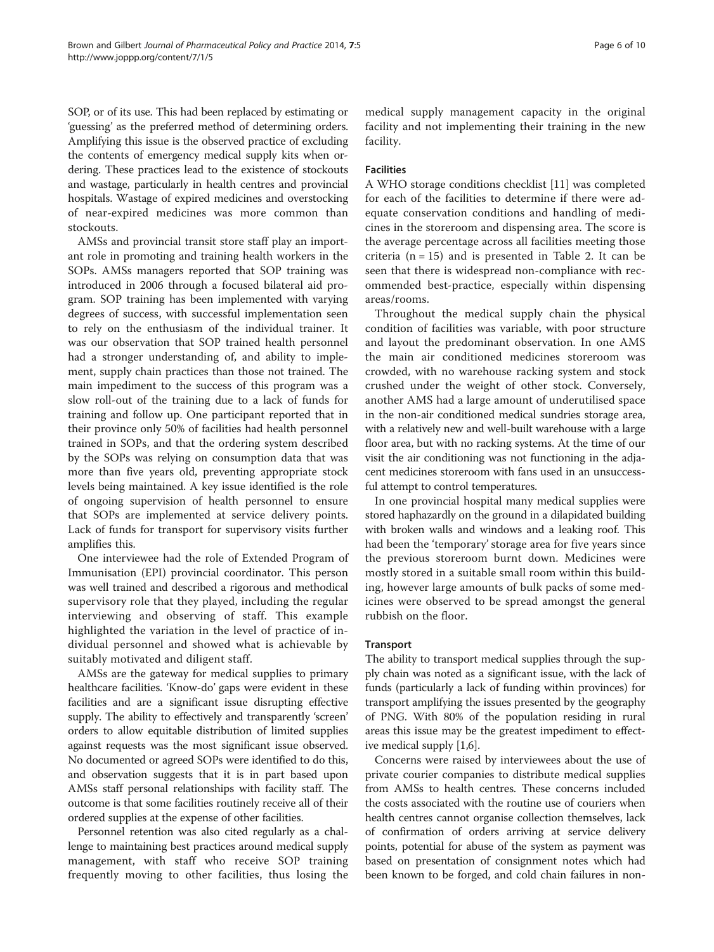SOP, or of its use. This had been replaced by estimating or 'guessing' as the preferred method of determining orders. Amplifying this issue is the observed practice of excluding the contents of emergency medical supply kits when ordering. These practices lead to the existence of stockouts and wastage, particularly in health centres and provincial hospitals. Wastage of expired medicines and overstocking of near-expired medicines was more common than stockouts.

AMSs and provincial transit store staff play an important role in promoting and training health workers in the SOPs. AMSs managers reported that SOP training was introduced in 2006 through a focused bilateral aid program. SOP training has been implemented with varying degrees of success, with successful implementation seen to rely on the enthusiasm of the individual trainer. It was our observation that SOP trained health personnel had a stronger understanding of, and ability to implement, supply chain practices than those not trained. The main impediment to the success of this program was a slow roll-out of the training due to a lack of funds for training and follow up. One participant reported that in their province only 50% of facilities had health personnel trained in SOPs, and that the ordering system described by the SOPs was relying on consumption data that was more than five years old, preventing appropriate stock levels being maintained. A key issue identified is the role of ongoing supervision of health personnel to ensure that SOPs are implemented at service delivery points. Lack of funds for transport for supervisory visits further amplifies this.

One interviewee had the role of Extended Program of Immunisation (EPI) provincial coordinator. This person was well trained and described a rigorous and methodical supervisory role that they played, including the regular interviewing and observing of staff. This example highlighted the variation in the level of practice of individual personnel and showed what is achievable by suitably motivated and diligent staff.

AMSs are the gateway for medical supplies to primary healthcare facilities. 'Know-do' gaps were evident in these facilities and are a significant issue disrupting effective supply. The ability to effectively and transparently 'screen' orders to allow equitable distribution of limited supplies against requests was the most significant issue observed. No documented or agreed SOPs were identified to do this, and observation suggests that it is in part based upon AMSs staff personal relationships with facility staff. The outcome is that some facilities routinely receive all of their ordered supplies at the expense of other facilities.

Personnel retention was also cited regularly as a challenge to maintaining best practices around medical supply management, with staff who receive SOP training frequently moving to other facilities, thus losing the

medical supply management capacity in the original facility and not implementing their training in the new facility.

#### **Facilities**

A WHO storage conditions checklist [\[11\]](#page-8-0) was completed for each of the facilities to determine if there were adequate conservation conditions and handling of medicines in the storeroom and dispensing area. The score is the average percentage across all facilities meeting those criteria  $(n = 15)$  and is presented in Table [2](#page-6-0). It can be seen that there is widespread non-compliance with recommended best-practice, especially within dispensing areas/rooms.

Throughout the medical supply chain the physical condition of facilities was variable, with poor structure and layout the predominant observation. In one AMS the main air conditioned medicines storeroom was crowded, with no warehouse racking system and stock crushed under the weight of other stock. Conversely, another AMS had a large amount of underutilised space in the non-air conditioned medical sundries storage area, with a relatively new and well-built warehouse with a large floor area, but with no racking systems. At the time of our visit the air conditioning was not functioning in the adjacent medicines storeroom with fans used in an unsuccessful attempt to control temperatures.

In one provincial hospital many medical supplies were stored haphazardly on the ground in a dilapidated building with broken walls and windows and a leaking roof. This had been the 'temporary' storage area for five years since the previous storeroom burnt down. Medicines were mostly stored in a suitable small room within this building, however large amounts of bulk packs of some medicines were observed to be spread amongst the general rubbish on the floor.

### **Transport**

The ability to transport medical supplies through the supply chain was noted as a significant issue, with the lack of funds (particularly a lack of funding within provinces) for transport amplifying the issues presented by the geography of PNG. With 80% of the population residing in rural areas this issue may be the greatest impediment to effective medical supply [[1,6](#page-8-0)].

Concerns were raised by interviewees about the use of private courier companies to distribute medical supplies from AMSs to health centres. These concerns included the costs associated with the routine use of couriers when health centres cannot organise collection themselves, lack of confirmation of orders arriving at service delivery points, potential for abuse of the system as payment was based on presentation of consignment notes which had been known to be forged, and cold chain failures in non-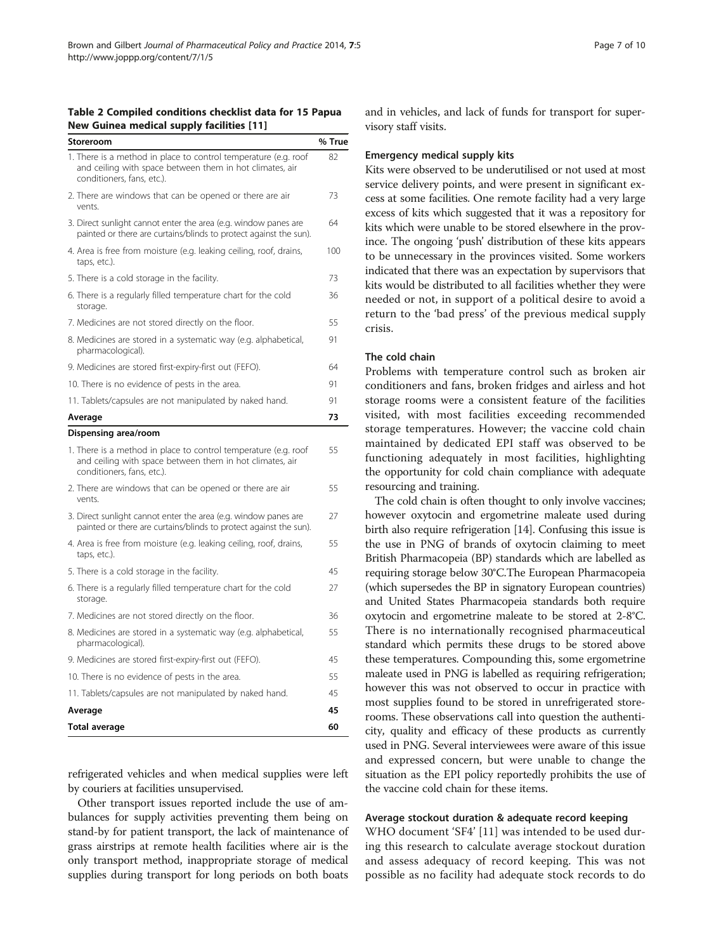<span id="page-6-0"></span>Table 2 Compiled conditions checklist data for 15 Papua New Guinea medical supply facilities [\[11](#page-8-0)]

| "rry                                                                                                                                                                                                                                                                                                      |        |
|-----------------------------------------------------------------------------------------------------------------------------------------------------------------------------------------------------------------------------------------------------------------------------------------------------------|--------|
| Storeroom                                                                                                                                                                                                                                                                                                 | % True |
| 1. There is a method in place to control temperature (e.g. roof<br>and ceiling with space between them in hot climates, air<br>conditioners, fans, etc.).                                                                                                                                                 | 82     |
| 2. There are windows that can be opened or there are air<br>vents.                                                                                                                                                                                                                                        | 73     |
| 3. Direct sunlight cannot enter the area (e.g. window panes are<br>painted or there are curtains/blinds to protect against the sun).                                                                                                                                                                      | 64     |
| 4. Area is free from moisture (e.g. leaking ceiling, roof, drains,<br>taps, etc.).                                                                                                                                                                                                                        | 100    |
| 5. There is a cold storage in the facility.                                                                                                                                                                                                                                                               | 73     |
| 6. There is a regularly filled temperature chart for the cold<br>storage.                                                                                                                                                                                                                                 | 36     |
| 7. Medicines are not stored directly on the floor.                                                                                                                                                                                                                                                        | 55     |
| 8. Medicines are stored in a systematic way (e.g. alphabetical,<br>pharmacological).                                                                                                                                                                                                                      | 91     |
| 9. Medicines are stored first-expiry-first out (FEFO).                                                                                                                                                                                                                                                    | 64     |
| 10. There is no evidence of pests in the area.<br>11. Tablets/capsules are not manipulated by naked hand.<br>Average<br>Dispensing area/room<br>1. There is a method in place to control temperature (e.g. roof<br>and ceiling with space between them in hot climates, air<br>conditioners, fans, etc.). |        |
|                                                                                                                                                                                                                                                                                                           | 91     |
|                                                                                                                                                                                                                                                                                                           | 73     |
|                                                                                                                                                                                                                                                                                                           |        |
|                                                                                                                                                                                                                                                                                                           | 55     |
| 2. There are windows that can be opened or there are air<br>vents.                                                                                                                                                                                                                                        | 55     |
| 3. Direct sunlight cannot enter the area (e.g. window panes are<br>painted or there are curtains/blinds to protect against the sun).                                                                                                                                                                      | 27     |
| 4. Area is free from moisture (e.g. leaking ceiling, roof, drains,<br>taps, etc.).                                                                                                                                                                                                                        | 55     |
| 5. There is a cold storage in the facility.                                                                                                                                                                                                                                                               | 45     |
| 6. There is a regularly filled temperature chart for the cold<br>storage.                                                                                                                                                                                                                                 | 27     |
| 7. Medicines are not stored directly on the floor.                                                                                                                                                                                                                                                        | 36     |
| 8. Medicines are stored in a systematic way (e.g. alphabetical,<br>pharmacological).                                                                                                                                                                                                                      | 55     |
| 9. Medicines are stored first-expiry-first out (FEFO).                                                                                                                                                                                                                                                    | 45     |
| 10. There is no evidence of pests in the area.                                                                                                                                                                                                                                                            | 55     |
| 11. Tablets/capsules are not manipulated by naked hand.                                                                                                                                                                                                                                                   | 45     |
| Average                                                                                                                                                                                                                                                                                                   | 45     |
| <b>Total average</b>                                                                                                                                                                                                                                                                                      | 60     |

refrigerated vehicles and when medical supplies were left by couriers at facilities unsupervised.

Other transport issues reported include the use of ambulances for supply activities preventing them being on stand-by for patient transport, the lack of maintenance of grass airstrips at remote health facilities where air is the only transport method, inappropriate storage of medical supplies during transport for long periods on both boats

and in vehicles, and lack of funds for transport for supervisory staff visits.

#### Emergency medical supply kits

Kits were observed to be underutilised or not used at most service delivery points, and were present in significant excess at some facilities. One remote facility had a very large excess of kits which suggested that it was a repository for kits which were unable to be stored elsewhere in the province. The ongoing 'push' distribution of these kits appears to be unnecessary in the provinces visited. Some workers indicated that there was an expectation by supervisors that kits would be distributed to all facilities whether they were needed or not, in support of a political desire to avoid a return to the 'bad press' of the previous medical supply crisis.

### The cold chain

Problems with temperature control such as broken air conditioners and fans, broken fridges and airless and hot storage rooms were a consistent feature of the facilities visited, with most facilities exceeding recommended storage temperatures. However; the vaccine cold chain maintained by dedicated EPI staff was observed to be functioning adequately in most facilities, highlighting the opportunity for cold chain compliance with adequate resourcing and training.

The cold chain is often thought to only involve vaccines; however oxytocin and ergometrine maleate used during birth also require refrigeration [[14](#page-8-0)]. Confusing this issue is the use in PNG of brands of oxytocin claiming to meet British Pharmacopeia (BP) standards which are labelled as requiring storage below 30°C.The European Pharmacopeia (which supersedes the BP in signatory European countries) and United States Pharmacopeia standards both require oxytocin and ergometrine maleate to be stored at 2-8°C. There is no internationally recognised pharmaceutical standard which permits these drugs to be stored above these temperatures. Compounding this, some ergometrine maleate used in PNG is labelled as requiring refrigeration; however this was not observed to occur in practice with most supplies found to be stored in unrefrigerated storerooms. These observations call into question the authenticity, quality and efficacy of these products as currently used in PNG. Several interviewees were aware of this issue and expressed concern, but were unable to change the situation as the EPI policy reportedly prohibits the use of the vaccine cold chain for these items.

#### Average stockout duration & adequate record keeping

WHO document 'SF4' [[11\]](#page-8-0) was intended to be used during this research to calculate average stockout duration and assess adequacy of record keeping. This was not possible as no facility had adequate stock records to do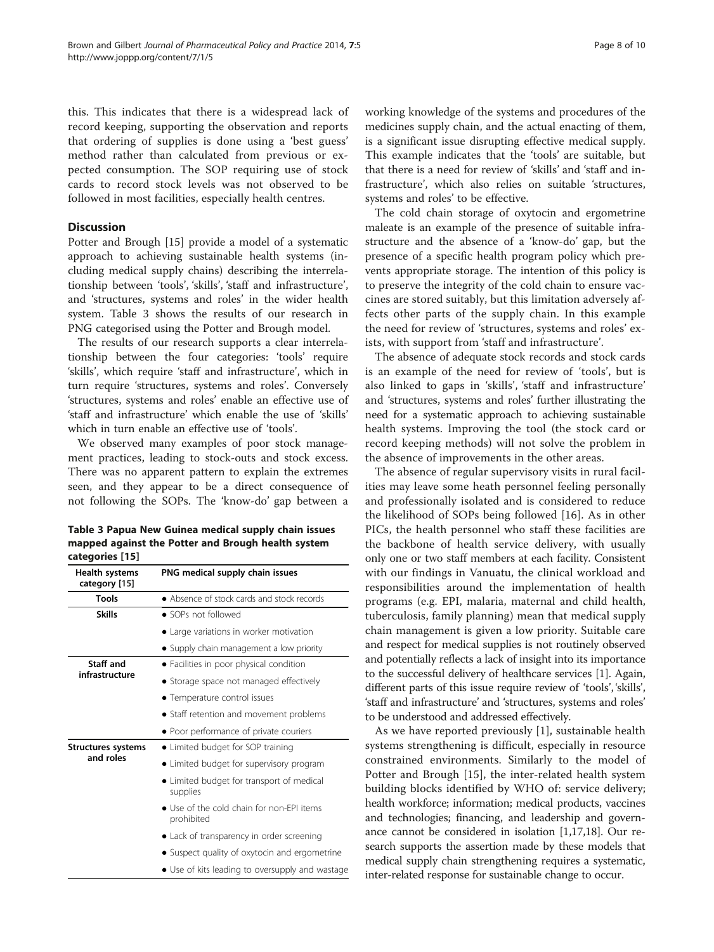this. This indicates that there is a widespread lack of record keeping, supporting the observation and reports that ordering of supplies is done using a 'best guess' method rather than calculated from previous or expected consumption. The SOP requiring use of stock cards to record stock levels was not observed to be followed in most facilities, especially health centres.

#### **Discussion**

Potter and Brough [[15\]](#page-8-0) provide a model of a systematic approach to achieving sustainable health systems (including medical supply chains) describing the interrelationship between 'tools', 'skills', 'staff and infrastructure', and 'structures, systems and roles' in the wider health system. Table 3 shows the results of our research in PNG categorised using the Potter and Brough model.

The results of our research supports a clear interrelationship between the four categories: 'tools' require 'skills', which require 'staff and infrastructure', which in turn require 'structures, systems and roles'. Conversely 'structures, systems and roles' enable an effective use of 'staff and infrastructure' which enable the use of 'skills' which in turn enable an effective use of 'tools'.

We observed many examples of poor stock management practices, leading to stock-outs and stock excess. There was no apparent pattern to explain the extremes seen, and they appear to be a direct consequence of not following the SOPs. The 'know-do' gap between a

| Table 3 Papua New Guinea medical supply chain issues |  |  |  |  |
|------------------------------------------------------|--|--|--|--|
| mapped against the Potter and Brough health system   |  |  |  |  |
| categories [15]                                      |  |  |  |  |

| <b>Health systems</b><br>category [15] | PNG medical supply chain issues                         |  |  |  |  |
|----------------------------------------|---------------------------------------------------------|--|--|--|--|
| <b>Tools</b>                           | • Absence of stock cards and stock records              |  |  |  |  |
| <b>Skills</b>                          | • SOPs not followed                                     |  |  |  |  |
|                                        | • Large variations in worker motivation                 |  |  |  |  |
|                                        | • Supply chain management a low priority                |  |  |  |  |
| Staff and                              | • Facilities in poor physical condition                 |  |  |  |  |
| infrastructure                         | • Storage space not managed effectively                 |  |  |  |  |
|                                        | • Temperature control issues                            |  |  |  |  |
|                                        | • Staff retention and movement problems                 |  |  |  |  |
|                                        | • Poor performance of private couriers                  |  |  |  |  |
| <b>Structures systems</b>              | • Limited budget for SOP training                       |  |  |  |  |
| and roles                              | • Limited budget for supervisory program                |  |  |  |  |
|                                        | • Limited budget for transport of medical<br>supplies   |  |  |  |  |
|                                        | • Use of the cold chain for non-EPI items<br>prohibited |  |  |  |  |
|                                        | • Lack of transparency in order screening               |  |  |  |  |
|                                        | • Suspect quality of oxytocin and ergometrine           |  |  |  |  |
|                                        | • Use of kits leading to oversupply and wastage         |  |  |  |  |

working knowledge of the systems and procedures of the medicines supply chain, and the actual enacting of them, is a significant issue disrupting effective medical supply. This example indicates that the 'tools' are suitable, but that there is a need for review of 'skills' and 'staff and infrastructure', which also relies on suitable 'structures, systems and roles' to be effective.

The cold chain storage of oxytocin and ergometrine maleate is an example of the presence of suitable infrastructure and the absence of a 'know-do' gap, but the presence of a specific health program policy which prevents appropriate storage. The intention of this policy is to preserve the integrity of the cold chain to ensure vaccines are stored suitably, but this limitation adversely affects other parts of the supply chain. In this example the need for review of 'structures, systems and roles' exists, with support from 'staff and infrastructure'.

The absence of adequate stock records and stock cards is an example of the need for review of 'tools', but is also linked to gaps in 'skills', 'staff and infrastructure' and 'structures, systems and roles' further illustrating the need for a systematic approach to achieving sustainable health systems. Improving the tool (the stock card or record keeping methods) will not solve the problem in the absence of improvements in the other areas.

The absence of regular supervisory visits in rural facilities may leave some heath personnel feeling personally and professionally isolated and is considered to reduce the likelihood of SOPs being followed [[16\]](#page-8-0). As in other PICs, the health personnel who staff these facilities are the backbone of health service delivery, with usually only one or two staff members at each facility. Consistent with our findings in Vanuatu, the clinical workload and responsibilities around the implementation of health programs (e.g. EPI, malaria, maternal and child health, tuberculosis, family planning) mean that medical supply chain management is given a low priority. Suitable care and respect for medical supplies is not routinely observed and potentially reflects a lack of insight into its importance to the successful delivery of healthcare services [\[1\]](#page-8-0). Again, different parts of this issue require review of 'tools', 'skills', 'staff and infrastructure' and 'structures, systems and roles' to be understood and addressed effectively.

As we have reported previously [\[1](#page-8-0)], sustainable health systems strengthening is difficult, especially in resource constrained environments. Similarly to the model of Potter and Brough [[15](#page-8-0)], the inter-related health system building blocks identified by WHO of: service delivery; health workforce; information; medical products, vaccines and technologies; financing, and leadership and governance cannot be considered in isolation [\[1,](#page-8-0)[17](#page-9-0),[18](#page-9-0)]. Our research supports the assertion made by these models that medical supply chain strengthening requires a systematic, inter-related response for sustainable change to occur.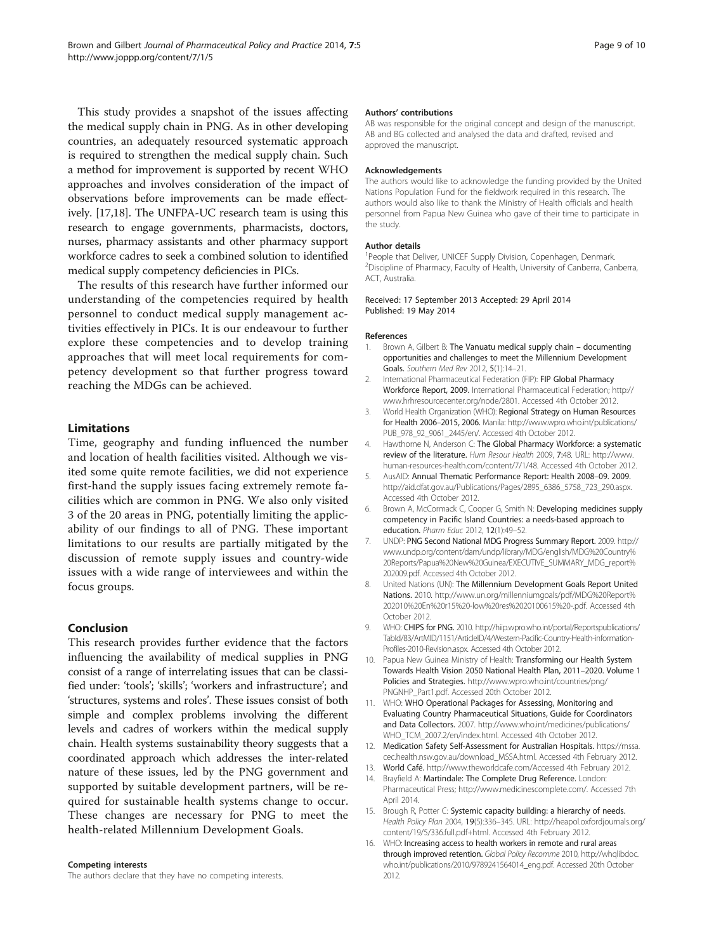<span id="page-8-0"></span>This study provides a snapshot of the issues affecting the medical supply chain in PNG. As in other developing countries, an adequately resourced systematic approach is required to strengthen the medical supply chain. Such a method for improvement is supported by recent WHO approaches and involves consideration of the impact of observations before improvements can be made effectively. [[17,18](#page-9-0)]. The UNFPA-UC research team is using this research to engage governments, pharmacists, doctors, nurses, pharmacy assistants and other pharmacy support workforce cadres to seek a combined solution to identified medical supply competency deficiencies in PICs.

The results of this research have further informed our understanding of the competencies required by health personnel to conduct medical supply management activities effectively in PICs. It is our endeavour to further explore these competencies and to develop training approaches that will meet local requirements for competency development so that further progress toward reaching the MDGs can be achieved.

#### Limitations

Time, geography and funding influenced the number and location of health facilities visited. Although we visited some quite remote facilities, we did not experience first-hand the supply issues facing extremely remote facilities which are common in PNG. We also only visited 3 of the 20 areas in PNG, potentially limiting the applicability of our findings to all of PNG. These important limitations to our results are partially mitigated by the discussion of remote supply issues and country-wide issues with a wide range of interviewees and within the focus groups.

#### Conclusion

This research provides further evidence that the factors influencing the availability of medical supplies in PNG consist of a range of interrelating issues that can be classified under: 'tools'; 'skills'; 'workers and infrastructure'; and 'structures, systems and roles'. These issues consist of both simple and complex problems involving the different levels and cadres of workers within the medical supply chain. Health systems sustainability theory suggests that a coordinated approach which addresses the inter-related nature of these issues, led by the PNG government and supported by suitable development partners, will be required for sustainable health systems change to occur. These changes are necessary for PNG to meet the health-related Millennium Development Goals.

#### Competing interests

The authors declare that they have no competing interests.

#### Authors' contributions

AB was responsible for the original concept and design of the manuscript. AB and BG collected and analysed the data and drafted, revised and approved the manuscript.

#### Acknowledgements

The authors would like to acknowledge the funding provided by the United Nations Population Fund for the fieldwork required in this research. The authors would also like to thank the Ministry of Health officials and health personnel from Papua New Guinea who gave of their time to participate in the study.

#### Author details

<sup>1</sup> People that Deliver, UNICEF Supply Division, Copenhagen, Denmark. <sup>2</sup> Discipline of Pharmacy, Faculty of Health, University of Canberra, Canberra, ACT, Australia.

#### Received: 17 September 2013 Accepted: 29 April 2014 Published: 19 May 2014

#### References

- 1. Brown A, Gilbert B: The Vanuatu medical supply chain documenting opportunities and challenges to meet the Millennium Development Goals. Southern Med Rev 2012, 5(1):14–21.
- 2. International Pharmaceutical Federation (FIP): FIP Global Pharmacy Workforce Report, 2009. International Pharmaceutical Federation; [http://](http://www.hrhresourcecenter.org/node/2801) [www.hrhresourcecenter.org/node/2801](http://www.hrhresourcecenter.org/node/2801). Accessed 4th October 2012.
- 3. World Health Organization (WHO): Regional Strategy on Human Resources for Health 2006–2015, 2006. Manila: [http://www.wpro.who.int/publications/](http://www.wpro.who.int/publications/PUB_978_92_9061_2445/en/) [PUB\\_978\\_92\\_9061\\_2445/en/.](http://www.wpro.who.int/publications/PUB_978_92_9061_2445/en/) Accessed 4th October 2012.
- 4. Hawthorne N, Anderson C: The Global Pharmacy Workforce: a systematic review of the literature. Hum Resour Health 2009, 7:48. URL: [http://www.](http://www.human-resources-health.com/content/7/1/48) [human-resources-health.com/content/7/1/48](http://www.human-resources-health.com/content/7/1/48). Accessed 4th October 2012.
- 5. AusAID: Annual Thematic Performance Report: Health 2008–09. 2009. [http://aid.dfat.gov.au/Publications/Pages/2895\\_6386\\_5758\\_723\\_290.aspx](http://aid.dfat.gov.au/Publications/Pages/2895_6386_5758_723_290.aspx). Accessed 4th October 2012.
- 6. Brown A, McCormack C, Cooper G, Smith N: Developing medicines supply competency in Pacific Island Countries: a needs-based approach to education. Pharm Educ 2012, 12(1):49–52.
- 7. UNDP: PNG Second National MDG Progress Summary Report. 2009. [http://](http://www.undp.org/content/dam/undp/library/MDG/english/MDG%20Country%20Reports/Papua%20New%20Guinea/EXECUTIVE_SUMMARY_MDG_report%202009.pdf) [www.undp.org/content/dam/undp/library/MDG/english/MDG%20Country%](http://www.undp.org/content/dam/undp/library/MDG/english/MDG%20Country%20Reports/Papua%20New%20Guinea/EXECUTIVE_SUMMARY_MDG_report%202009.pdf) [20Reports/Papua%20New%20Guinea/EXECUTIVE\\_SUMMARY\\_MDG\\_report%](http://www.undp.org/content/dam/undp/library/MDG/english/MDG%20Country%20Reports/Papua%20New%20Guinea/EXECUTIVE_SUMMARY_MDG_report%202009.pdf) [202009.pdf](http://www.undp.org/content/dam/undp/library/MDG/english/MDG%20Country%20Reports/Papua%20New%20Guinea/EXECUTIVE_SUMMARY_MDG_report%202009.pdf). Accessed 4th October 2012.
- 8. United Nations (UN): The Millennium Development Goals Report United Nations. 2010. [http://www.un.org/millenniumgoals/pdf/MDG%20Report%](http://www.un.org/millenniumgoals/pdf/MDG%20Report%202010%20En%20r15%20-low%20res%2020100615%20-.pdf) [202010%20En%20r15%20-low%20res%2020100615%20-.pdf.](http://www.un.org/millenniumgoals/pdf/MDG%20Report%202010%20En%20r15%20-low%20res%2020100615%20-.pdf) Accessed 4th October 2012.
- WHO: CHIPS for PNG. 2010. [http://hiip.wpro.who.int/portal/Reportspublications/](http://hiip.wpro.who.int/portal/Reportspublications/TabId/83/ArtMID/1151/ArticleID/4/Western-Pacific-Country-Health-information-Profiles-2010-Revision.aspx) [TabId/83/ArtMID/1151/ArticleID/4/Western-Pacific-Country-Health-information-](http://hiip.wpro.who.int/portal/Reportspublications/TabId/83/ArtMID/1151/ArticleID/4/Western-Pacific-Country-Health-information-Profiles-2010-Revision.aspx)[Profiles-2010-Revision.aspx.](http://hiip.wpro.who.int/portal/Reportspublications/TabId/83/ArtMID/1151/ArticleID/4/Western-Pacific-Country-Health-information-Profiles-2010-Revision.aspx) Accessed 4th October 2012.
- 10. Papua New Guinea Ministry of Health: Transforming our Health System Towards Health Vision 2050 National Health Plan, 2011–2020. Volume 1 Policies and Strategies. [http://www.wpro.who.int/countries/png/](http://www.wpro.who.int/countries/png/PNGNHP_Part1.pdf) [PNGNHP\\_Part1.pdf](http://www.wpro.who.int/countries/png/PNGNHP_Part1.pdf). Accessed 20th October 2012.
- 11. WHO: WHO Operational Packages for Assessing, Monitoring and Evaluating Country Pharmaceutical Situations, Guide for Coordinators and Data Collectors. 2007. [http://www.who.int/medicines/publications/](http://www.who.int/medicines/publications/WHO_TCM_2007.2/en/index.html) [WHO\\_TCM\\_2007.2/en/index.html.](http://www.who.int/medicines/publications/WHO_TCM_2007.2/en/index.html) Accessed 4th October 2012.
- 12. Medication Safety Self-Assessment for Australian Hospitals. [https://mssa.](https://mssa.cec.health.nsw.gov.au/download_MSSA.html) [cec.health.nsw.gov.au/download\\_MSSA.html.](https://mssa.cec.health.nsw.gov.au/download_MSSA.html) Accessed 4th February 2012.
- 13. World Café. <http://www.theworldcafe.com/Accessed> 4th February 2012. 14. Brayfield A: Martindale: The Complete Drug Reference. London:
- Pharmaceutical Press;<http://www.medicinescomplete.com/>. Accessed 7th April 2014.
- 15. Brough R, Potter C: Systemic capacity building: a hierarchy of needs. Health Policy Plan 2004, 19(5):336–345. URL: [http://heapol.oxfordjournals.org/](http://heapol.oxfordjournals.org/content/19/5/336.full.pdf+html) [content/19/5/336.full.pdf+html.](http://heapol.oxfordjournals.org/content/19/5/336.full.pdf+html) Accessed 4th February 2012.
- 16. WHO: Increasing access to health workers in remote and rural areas through improved retention. Global Policy Recomme 2010, [http://whqlibdoc.](http://whqlibdoc.who.int/publications/2010/9789241564014_eng.pdf) [who.int/publications/2010/9789241564014\\_eng.pdf.](http://whqlibdoc.who.int/publications/2010/9789241564014_eng.pdf) Accessed 20th October 2012.